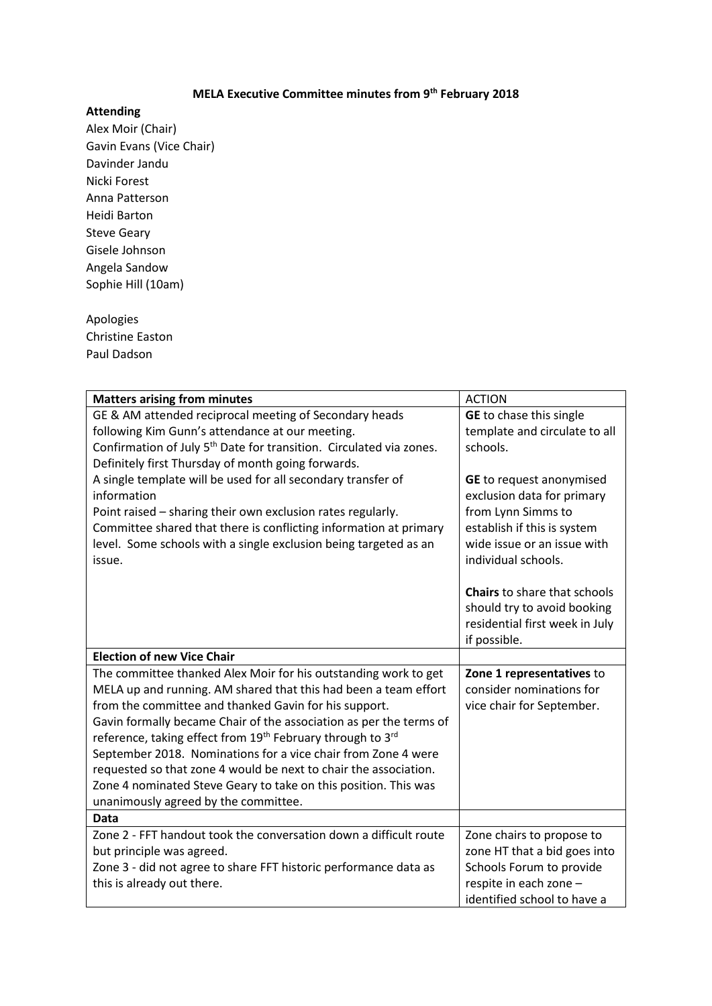## **MELA Executive Committee minutes from 9th February 2018**

## **Attending**

Alex Moir (Chair) Gavin Evans (Vice Chair) Davinder Jandu Nicki Forest Anna Patterson Heidi Barton Steve Geary Gisele Johnson Angela Sandow Sophie Hill (10am)

## Apologies Christine Easton

Paul Dadson

| <b>Matters arising from minutes</b>                                                | <b>ACTION</b>                       |
|------------------------------------------------------------------------------------|-------------------------------------|
| GE & AM attended reciprocal meeting of Secondary heads                             | <b>GE</b> to chase this single      |
| following Kim Gunn's attendance at our meeting.                                    | template and circulate to all       |
| Confirmation of July 5 <sup>th</sup> Date for transition. Circulated via zones.    | schools.                            |
| Definitely first Thursday of month going forwards.                                 |                                     |
| A single template will be used for all secondary transfer of                       | <b>GE</b> to request anonymised     |
| information                                                                        | exclusion data for primary          |
| Point raised – sharing their own exclusion rates regularly.                        | from Lynn Simms to                  |
| Committee shared that there is conflicting information at primary                  | establish if this is system         |
| level. Some schools with a single exclusion being targeted as an                   | wide issue or an issue with         |
| issue.                                                                             | individual schools.                 |
|                                                                                    |                                     |
|                                                                                    | <b>Chairs</b> to share that schools |
|                                                                                    | should try to avoid booking         |
|                                                                                    | residential first week in July      |
|                                                                                    | if possible.                        |
| <b>Election of new Vice Chair</b>                                                  |                                     |
| The committee thanked Alex Moir for his outstanding work to get                    | Zone 1 representatives to           |
| MELA up and running. AM shared that this had been a team effort                    | consider nominations for            |
| from the committee and thanked Gavin for his support.                              | vice chair for September.           |
| Gavin formally became Chair of the association as per the terms of                 |                                     |
| reference, taking effect from 19 <sup>th</sup> February through to 3 <sup>rd</sup> |                                     |
|                                                                                    |                                     |
| September 2018. Nominations for a vice chair from Zone 4 were                      |                                     |
| requested so that zone 4 would be next to chair the association.                   |                                     |
| Zone 4 nominated Steve Geary to take on this position. This was                    |                                     |
| unanimously agreed by the committee.                                               |                                     |
| Data                                                                               |                                     |
| Zone 2 - FFT handout took the conversation down a difficult route                  | Zone chairs to propose to           |
| but principle was agreed.                                                          | zone HT that a bid goes into        |
| Zone 3 - did not agree to share FFT historic performance data as                   | Schools Forum to provide            |
| this is already out there.                                                         | respite in each zone -              |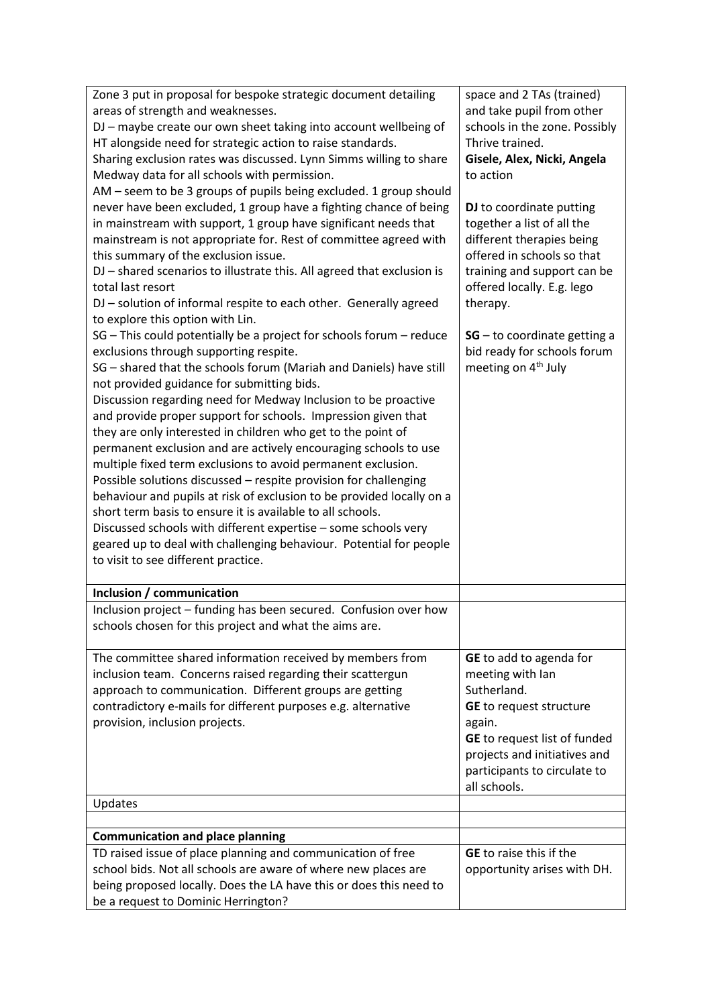| Zone 3 put in proposal for bespoke strategic document detailing<br>areas of strength and weaknesses.<br>DJ - maybe create our own sheet taking into account wellbeing of<br>HT alongside need for strategic action to raise standards.                                                                                                                                                                                                                                                                                                                                                                                                                                                                                                                                                                                                                                                                                                                            | space and 2 TAs (trained)<br>and take pupil from other<br>schools in the zone. Possibly<br>Thrive trained.                                                                                                             |
|-------------------------------------------------------------------------------------------------------------------------------------------------------------------------------------------------------------------------------------------------------------------------------------------------------------------------------------------------------------------------------------------------------------------------------------------------------------------------------------------------------------------------------------------------------------------------------------------------------------------------------------------------------------------------------------------------------------------------------------------------------------------------------------------------------------------------------------------------------------------------------------------------------------------------------------------------------------------|------------------------------------------------------------------------------------------------------------------------------------------------------------------------------------------------------------------------|
| Sharing exclusion rates was discussed. Lynn Simms willing to share<br>Medway data for all schools with permission.<br>AM - seem to be 3 groups of pupils being excluded. 1 group should                                                                                                                                                                                                                                                                                                                                                                                                                                                                                                                                                                                                                                                                                                                                                                           | Gisele, Alex, Nicki, Angela<br>to action                                                                                                                                                                               |
| never have been excluded, 1 group have a fighting chance of being<br>in mainstream with support, 1 group have significant needs that<br>mainstream is not appropriate for. Rest of committee agreed with<br>this summary of the exclusion issue.<br>DJ - shared scenarios to illustrate this. All agreed that exclusion is<br>total last resort<br>DJ - solution of informal respite to each other. Generally agreed<br>to explore this option with Lin.                                                                                                                                                                                                                                                                                                                                                                                                                                                                                                          | DJ to coordinate putting<br>together a list of all the<br>different therapies being<br>offered in schools so that<br>training and support can be<br>offered locally. E.g. lego<br>therapy.                             |
| SG - This could potentially be a project for schools forum - reduce<br>exclusions through supporting respite.<br>SG - shared that the schools forum (Mariah and Daniels) have still<br>not provided guidance for submitting bids.<br>Discussion regarding need for Medway Inclusion to be proactive<br>and provide proper support for schools. Impression given that<br>they are only interested in children who get to the point of<br>permanent exclusion and are actively encouraging schools to use<br>multiple fixed term exclusions to avoid permanent exclusion.<br>Possible solutions discussed - respite provision for challenging<br>behaviour and pupils at risk of exclusion to be provided locally on a<br>short term basis to ensure it is available to all schools.<br>Discussed schools with different expertise - some schools very<br>geared up to deal with challenging behaviour. Potential for people<br>to visit to see different practice. | $SG - to coordinate getting a$<br>bid ready for schools forum<br>meeting on 4 <sup>th</sup> July                                                                                                                       |
| Inclusion / communication                                                                                                                                                                                                                                                                                                                                                                                                                                                                                                                                                                                                                                                                                                                                                                                                                                                                                                                                         |                                                                                                                                                                                                                        |
| Inclusion project - funding has been secured. Confusion over how<br>schools chosen for this project and what the aims are.                                                                                                                                                                                                                                                                                                                                                                                                                                                                                                                                                                                                                                                                                                                                                                                                                                        |                                                                                                                                                                                                                        |
| The committee shared information received by members from<br>inclusion team. Concerns raised regarding their scattergun<br>approach to communication. Different groups are getting<br>contradictory e-mails for different purposes e.g. alternative<br>provision, inclusion projects.                                                                                                                                                                                                                                                                                                                                                                                                                                                                                                                                                                                                                                                                             | GE to add to agenda for<br>meeting with Ian<br>Sutherland.<br><b>GE</b> to request structure<br>again.<br>GE to request list of funded<br>projects and initiatives and<br>participants to circulate to<br>all schools. |
| Updates                                                                                                                                                                                                                                                                                                                                                                                                                                                                                                                                                                                                                                                                                                                                                                                                                                                                                                                                                           |                                                                                                                                                                                                                        |
|                                                                                                                                                                                                                                                                                                                                                                                                                                                                                                                                                                                                                                                                                                                                                                                                                                                                                                                                                                   |                                                                                                                                                                                                                        |
| <b>Communication and place planning</b>                                                                                                                                                                                                                                                                                                                                                                                                                                                                                                                                                                                                                                                                                                                                                                                                                                                                                                                           | <b>GE</b> to raise this if the                                                                                                                                                                                         |
| TD raised issue of place planning and communication of free<br>school bids. Not all schools are aware of where new places are                                                                                                                                                                                                                                                                                                                                                                                                                                                                                                                                                                                                                                                                                                                                                                                                                                     | opportunity arises with DH.                                                                                                                                                                                            |
| being proposed locally. Does the LA have this or does this need to                                                                                                                                                                                                                                                                                                                                                                                                                                                                                                                                                                                                                                                                                                                                                                                                                                                                                                |                                                                                                                                                                                                                        |
| be a request to Dominic Herrington?                                                                                                                                                                                                                                                                                                                                                                                                                                                                                                                                                                                                                                                                                                                                                                                                                                                                                                                               |                                                                                                                                                                                                                        |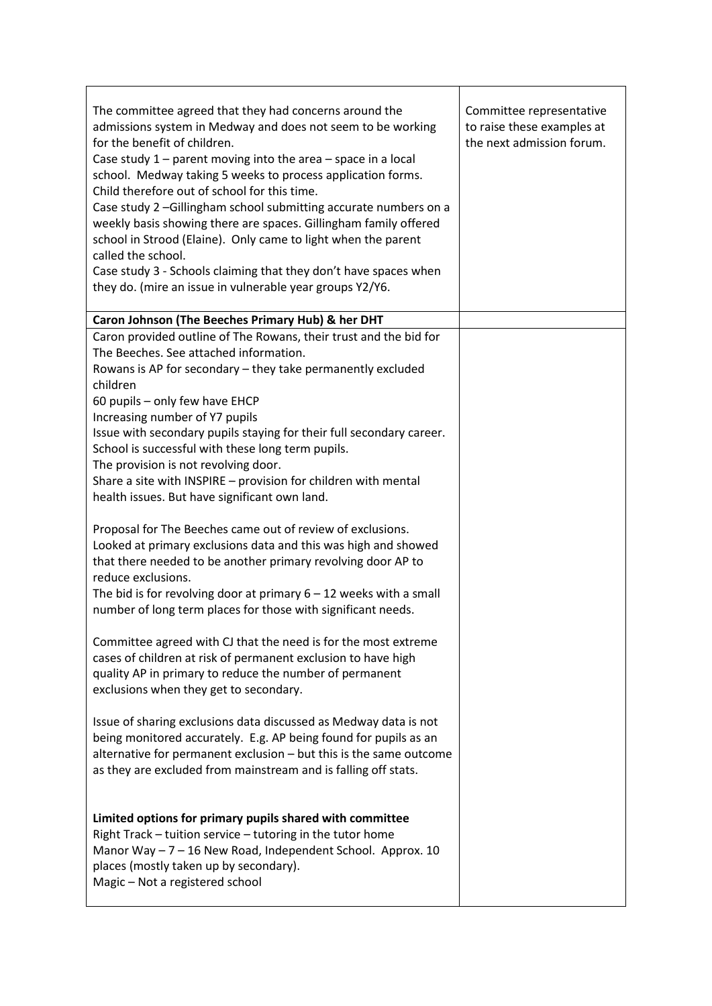| The committee agreed that they had concerns around the<br>admissions system in Medway and does not seem to be working<br>for the benefit of children.<br>Case study $1$ – parent moving into the area – space in a local<br>school. Medway taking 5 weeks to process application forms.<br>Child therefore out of school for this time.<br>Case study 2 -Gillingham school submitting accurate numbers on a<br>weekly basis showing there are spaces. Gillingham family offered<br>school in Strood (Elaine). Only came to light when the parent<br>called the school.<br>Case study 3 - Schools claiming that they don't have spaces when<br>they do. (mire an issue in vulnerable year groups Y2/Y6. | Committee representative<br>to raise these examples at<br>the next admission forum. |
|--------------------------------------------------------------------------------------------------------------------------------------------------------------------------------------------------------------------------------------------------------------------------------------------------------------------------------------------------------------------------------------------------------------------------------------------------------------------------------------------------------------------------------------------------------------------------------------------------------------------------------------------------------------------------------------------------------|-------------------------------------------------------------------------------------|
| Caron Johnson (The Beeches Primary Hub) & her DHT                                                                                                                                                                                                                                                                                                                                                                                                                                                                                                                                                                                                                                                      |                                                                                     |
| Caron provided outline of The Rowans, their trust and the bid for<br>The Beeches. See attached information.<br>Rowans is AP for secondary - they take permanently excluded<br>children<br>60 pupils - only few have EHCP<br>Increasing number of Y7 pupils<br>Issue with secondary pupils staying for their full secondary career.<br>School is successful with these long term pupils.<br>The provision is not revolving door.<br>Share a site with INSPIRE - provision for children with mental<br>health issues. But have significant own land.                                                                                                                                                     |                                                                                     |
| Proposal for The Beeches came out of review of exclusions.<br>Looked at primary exclusions data and this was high and showed<br>that there needed to be another primary revolving door AP to<br>reduce exclusions.<br>The bid is for revolving door at primary $6 - 12$ weeks with a small<br>number of long term places for those with significant needs.<br>Committee agreed with CJ that the need is for the most extreme<br>cases of children at risk of permanent exclusion to have high<br>quality AP in primary to reduce the number of permanent                                                                                                                                               |                                                                                     |
| exclusions when they get to secondary.<br>Issue of sharing exclusions data discussed as Medway data is not<br>being monitored accurately. E.g. AP being found for pupils as an<br>alternative for permanent exclusion - but this is the same outcome<br>as they are excluded from mainstream and is falling off stats.                                                                                                                                                                                                                                                                                                                                                                                 |                                                                                     |
| Limited options for primary pupils shared with committee<br>Right Track – tuition service – tutoring in the tutor home<br>Manor Way - 7 - 16 New Road, Independent School. Approx. 10<br>places (mostly taken up by secondary).<br>Magic - Not a registered school                                                                                                                                                                                                                                                                                                                                                                                                                                     |                                                                                     |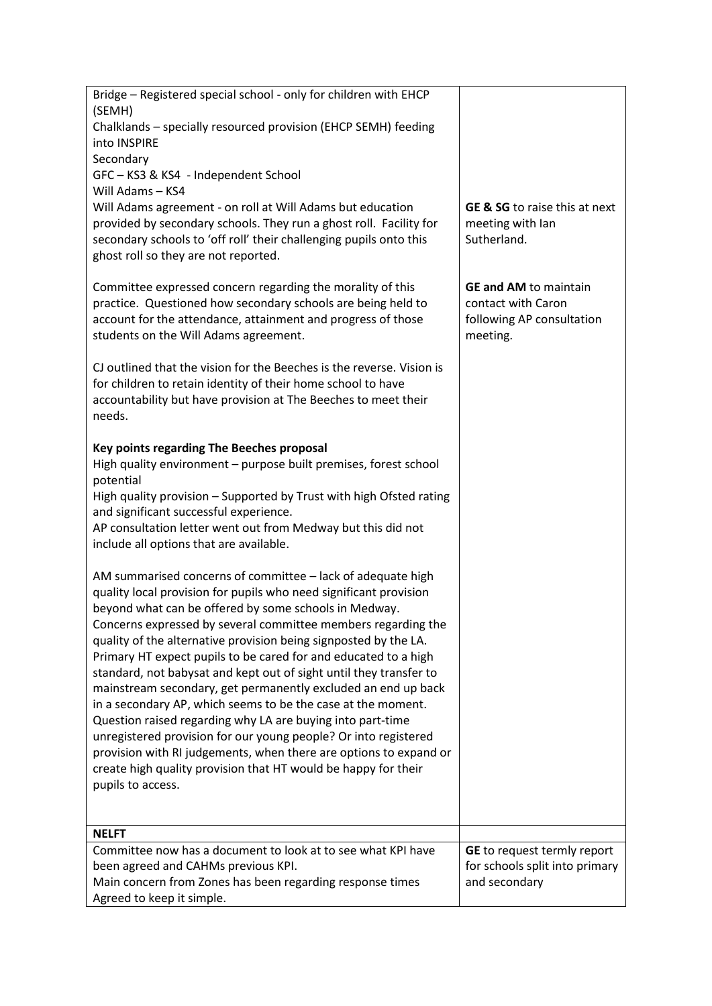| Bridge - Registered special school - only for children with EHCP                                                                    |                                                    |
|-------------------------------------------------------------------------------------------------------------------------------------|----------------------------------------------------|
| (SEMH)<br>Chalklands - specially resourced provision (EHCP SEMH) feeding                                                            |                                                    |
| into INSPIRE                                                                                                                        |                                                    |
| Secondary<br>GFC-KS3 & KS4 - Independent School                                                                                     |                                                    |
| Will Adams - KS4                                                                                                                    |                                                    |
| Will Adams agreement - on roll at Will Adams but education                                                                          | <b>GE &amp; SG</b> to raise this at next           |
| provided by secondary schools. They run a ghost roll. Facility for                                                                  | meeting with lan<br>Sutherland.                    |
| secondary schools to 'off roll' their challenging pupils onto this<br>ghost roll so they are not reported.                          |                                                    |
|                                                                                                                                     |                                                    |
| Committee expressed concern regarding the morality of this<br>practice. Questioned how secondary schools are being held to          | <b>GE and AM to maintain</b><br>contact with Caron |
| account for the attendance, attainment and progress of those                                                                        | following AP consultation                          |
| students on the Will Adams agreement.                                                                                               | meeting.                                           |
| CJ outlined that the vision for the Beeches is the reverse. Vision is                                                               |                                                    |
| for children to retain identity of their home school to have                                                                        |                                                    |
| accountability but have provision at The Beeches to meet their<br>needs.                                                            |                                                    |
|                                                                                                                                     |                                                    |
| Key points regarding The Beeches proposal<br>High quality environment - purpose built premises, forest school                       |                                                    |
| potential                                                                                                                           |                                                    |
| High quality provision - Supported by Trust with high Ofsted rating                                                                 |                                                    |
| and significant successful experience.<br>AP consultation letter went out from Medway but this did not                              |                                                    |
| include all options that are available.                                                                                             |                                                    |
|                                                                                                                                     |                                                    |
| AM summarised concerns of committee - lack of adequate high<br>quality local provision for pupils who need significant provision    |                                                    |
| beyond what can be offered by some schools in Medway.                                                                               |                                                    |
| Concerns expressed by several committee members regarding the                                                                       |                                                    |
| quality of the alternative provision being signposted by the LA.<br>Primary HT expect pupils to be cared for and educated to a high |                                                    |
| standard, not babysat and kept out of sight until they transfer to                                                                  |                                                    |
| mainstream secondary, get permanently excluded an end up back<br>in a secondary AP, which seems to be the case at the moment.       |                                                    |
| Question raised regarding why LA are buying into part-time                                                                          |                                                    |
| unregistered provision for our young people? Or into registered                                                                     |                                                    |
| provision with RI judgements, when there are options to expand or<br>create high quality provision that HT would be happy for their |                                                    |
| pupils to access.                                                                                                                   |                                                    |
|                                                                                                                                     |                                                    |
| <b>NELFT</b>                                                                                                                        |                                                    |
| Committee now has a document to look at to see what KPI have                                                                        | GE to request termly report                        |
| been agreed and CAHMs previous KPI.<br>Main concern from Zones has been regarding response times                                    | for schools split into primary<br>and secondary    |
| Agreed to keep it simple.                                                                                                           |                                                    |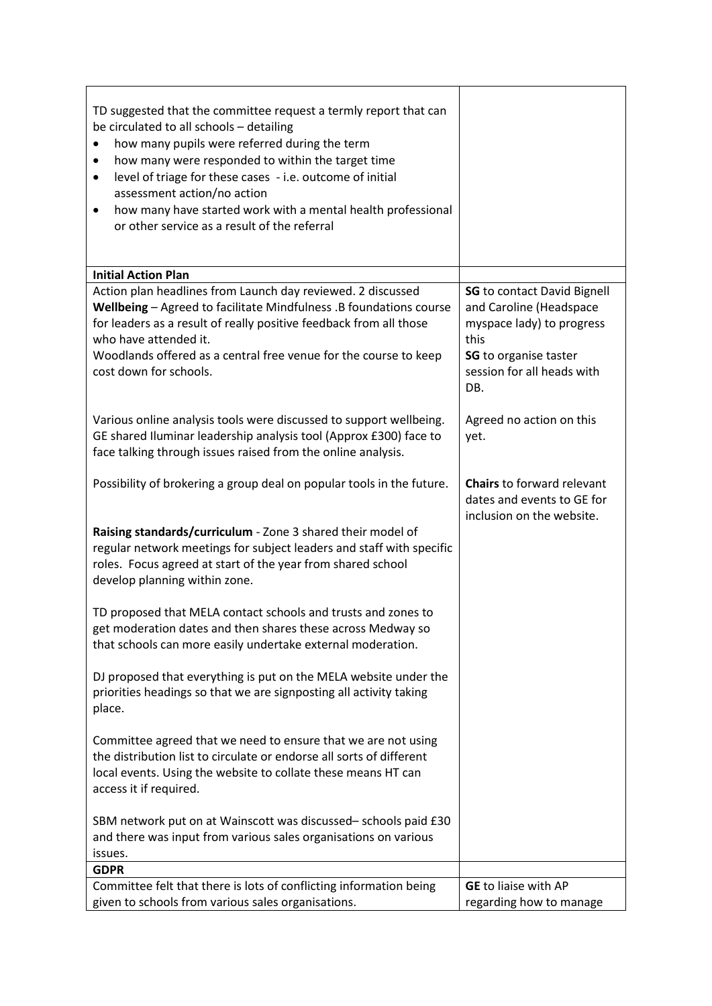| TD suggested that the committee request a termly report that can<br>be circulated to all schools - detailing<br>how many pupils were referred during the term<br>how many were responded to within the target time<br>level of triage for these cases - i.e. outcome of initial<br>٠<br>assessment action/no action<br>how many have started work with a mental health professional<br>$\bullet$<br>or other service as a result of the referral |                                                                                                                                                                         |
|--------------------------------------------------------------------------------------------------------------------------------------------------------------------------------------------------------------------------------------------------------------------------------------------------------------------------------------------------------------------------------------------------------------------------------------------------|-------------------------------------------------------------------------------------------------------------------------------------------------------------------------|
| <b>Initial Action Plan</b>                                                                                                                                                                                                                                                                                                                                                                                                                       |                                                                                                                                                                         |
| Action plan headlines from Launch day reviewed. 2 discussed<br>Wellbeing - Agreed to facilitate Mindfulness .B foundations course<br>for leaders as a result of really positive feedback from all those<br>who have attended it.<br>Woodlands offered as a central free venue for the course to keep<br>cost down for schools.                                                                                                                   | <b>SG</b> to contact David Bignell<br>and Caroline (Headspace<br>myspace lady) to progress<br>this<br><b>SG</b> to organise taster<br>session for all heads with<br>DB. |
| Various online analysis tools were discussed to support wellbeing.<br>GE shared Iluminar leadership analysis tool (Approx £300) face to<br>face talking through issues raised from the online analysis.                                                                                                                                                                                                                                          | Agreed no action on this<br>yet.                                                                                                                                        |
| Possibility of brokering a group deal on popular tools in the future.                                                                                                                                                                                                                                                                                                                                                                            | <b>Chairs</b> to forward relevant<br>dates and events to GE for<br>inclusion on the website.                                                                            |
| Raising standards/curriculum - Zone 3 shared their model of<br>regular network meetings for subject leaders and staff with specific<br>roles. Focus agreed at start of the year from shared school<br>develop planning within zone.                                                                                                                                                                                                              |                                                                                                                                                                         |
| TD proposed that MELA contact schools and trusts and zones to<br>get moderation dates and then shares these across Medway so<br>that schools can more easily undertake external moderation.                                                                                                                                                                                                                                                      |                                                                                                                                                                         |
| DJ proposed that everything is put on the MELA website under the<br>priorities headings so that we are signposting all activity taking<br>place.                                                                                                                                                                                                                                                                                                 |                                                                                                                                                                         |
| Committee agreed that we need to ensure that we are not using<br>the distribution list to circulate or endorse all sorts of different<br>local events. Using the website to collate these means HT can<br>access it if required.                                                                                                                                                                                                                 |                                                                                                                                                                         |
| SBM network put on at Wainscott was discussed- schools paid £30<br>and there was input from various sales organisations on various<br>issues.                                                                                                                                                                                                                                                                                                    |                                                                                                                                                                         |
| <b>GDPR</b>                                                                                                                                                                                                                                                                                                                                                                                                                                      |                                                                                                                                                                         |
| Committee felt that there is lots of conflicting information being<br>given to schools from various sales organisations.                                                                                                                                                                                                                                                                                                                         | <b>GE</b> to liaise with AP<br>regarding how to manage                                                                                                                  |